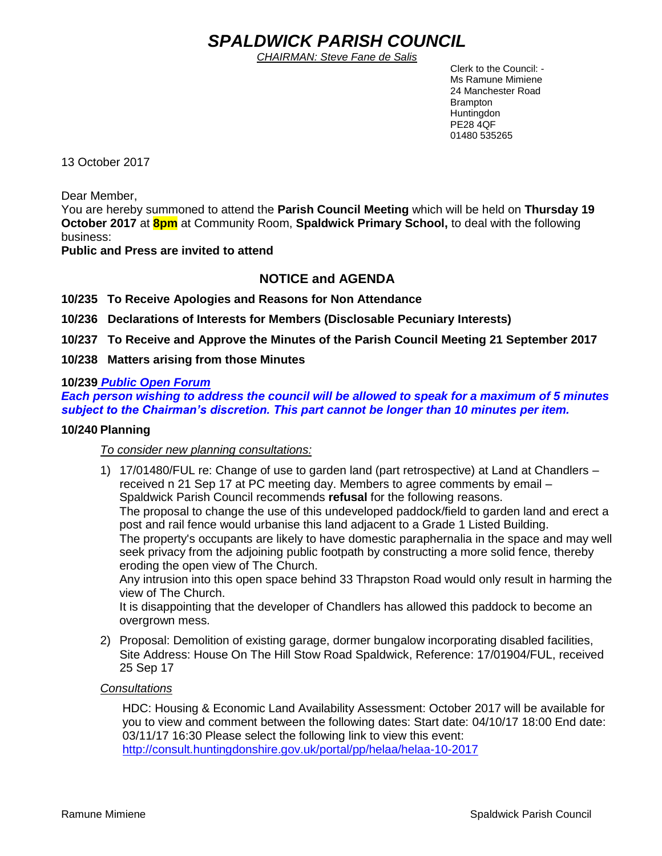# *SPALDWICK PARISH COUNCIL*

*CHAIRMAN: Steve Fane de Salis*

 Clerk to the Council: - Ms Ramune Mimiene 24 Manchester Road Brampton **Huntingdon** PE28 4QF 01480 535265

13 October 2017

Dear Member,

You are hereby summoned to attend the **Parish Council Meeting** which will be held on **Thursday 19 October 2017** at **8pm** at Community Room, **Spaldwick Primary School,** to deal with the following business:

**Public and Press are invited to attend**

# **NOTICE and AGENDA**

**10/235 To Receive Apologies and Reasons for Non Attendance**

**10/236 Declarations of Interests for Members (Disclosable Pecuniary Interests)**

**10/237 To Receive and Approve the Minutes of the Parish Council Meeting 21 September 2017**

**10/238 Matters arising from those Minutes**

#### **10/239** *Public Open Forum*

*Each person wishing to address the council will be allowed to speak for a maximum of 5 minutes subject to the Chairman's discretion. This part cannot be longer than 10 minutes per item.* 

#### **10/240 Planning**

*To consider new planning consultations:* 

1) 17/01480/FUL re: Change of use to garden land (part retrospective) at Land at Chandlers – received n 21 Sep 17 at PC meeting day. Members to agree comments by email – Spaldwick Parish Council recommends **refusal** for the following reasons. The proposal to change the use of this undeveloped paddock/field to garden land and erect a post and rail fence would urbanise this land adjacent to a Grade 1 Listed Building. The property's occupants are likely to have domestic paraphernalia in the space and may well seek privacy from the adjoining public footpath by constructing a more solid fence, thereby eroding the open view of The Church.

Any intrusion into this open space behind 33 Thrapston Road would only result in harming the view of The Church.

It is disappointing that the developer of Chandlers has allowed this paddock to become an overgrown mess.

2) Proposal: Demolition of existing garage, dormer bungalow incorporating disabled facilities, Site Address: House On The Hill Stow Road Spaldwick, Reference: 17/01904/FUL, received 25 Sep 17

#### *Consultations*

HDC: Housing & Economic Land Availability Assessment: October 2017 will be available for you to view and comment between the following dates: Start date: 04/10/17 18:00 End date: 03/11/17 16:30 Please select the following link to view this event: <http://consult.huntingdonshire.gov.uk/portal/pp/helaa/helaa-10-2017>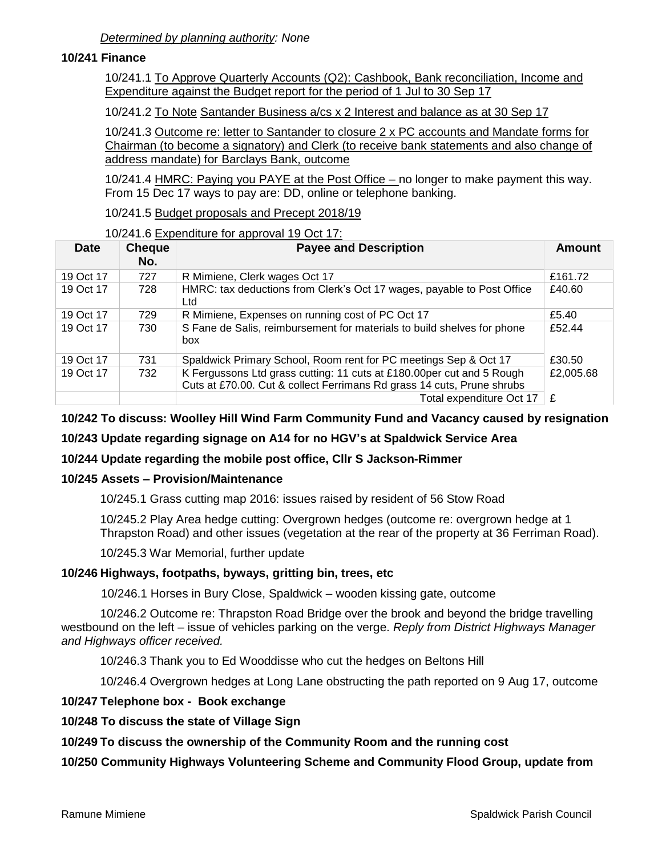## **10/241 Finance**

10/241.1 To Approve Quarterly Accounts (Q2): Cashbook, Bank reconciliation, Income and Expenditure against the Budget report for the period of 1 Jul to 30 Sep 17

10/241.2 To Note Santander Business a/cs x 2 Interest and balance as at 30 Sep 17

10/241.3 Outcome re: letter to Santander to closure 2 x PC accounts and Mandate forms for Chairman (to become a signatory) and Clerk (to receive bank statements and also change of address mandate) for Barclays Bank, outcome

10/241.4 HMRC: Paying you PAYE at the Post Office – no longer to make payment this way. From 15 Dec 17 ways to pay are: DD, online or telephone banking.

10/241.5 Budget proposals and Precept 2018/19

## 10/241.6 Expenditure for approval 19 Oct 17:

| <b>Date</b> | <b>Cheque</b><br>No. | <b>Payee and Description</b>                                                                                                                    | Amount    |
|-------------|----------------------|-------------------------------------------------------------------------------------------------------------------------------------------------|-----------|
| 19 Oct 17   | 727                  | R Mimiene, Clerk wages Oct 17                                                                                                                   | £161.72   |
| 19 Oct 17   | 728                  | HMRC: tax deductions from Clerk's Oct 17 wages, payable to Post Office<br>Ltd                                                                   | £40.60    |
| 19 Oct 17   | 729                  | R Mimiene, Expenses on running cost of PC Oct 17                                                                                                | £5.40     |
| 19 Oct 17   | 730                  | S Fane de Salis, reimbursement for materials to build shelves for phone<br>box                                                                  | £52.44    |
| 19 Oct 17   | 731                  | Spaldwick Primary School, Room rent for PC meetings Sep & Oct 17                                                                                | £30.50    |
| 19 Oct 17   | 732                  | K Fergussons Ltd grass cutting: 11 cuts at £180.00per cut and 5 Rough<br>Cuts at £70.00. Cut & collect Ferrimans Rd grass 14 cuts, Prune shrubs | £2,005.68 |
|             |                      | Total expenditure Oct 17                                                                                                                        | £         |

# **10/242 To discuss: Woolley Hill Wind Farm Community Fund and Vacancy caused by resignation**

## **10/243 Update regarding signage on A14 for no HGV's at Spaldwick Service Area**

# **10/244 Update regarding the mobile post office, Cllr S Jackson-Rimmer**

## **10/245 Assets – Provision/Maintenance**

10/245.1 Grass cutting map 2016: issues raised by resident of 56 Stow Road

10/245.2 Play Area hedge cutting: Overgrown hedges (outcome re: overgrown hedge at 1 Thrapston Road) and other issues (vegetation at the rear of the property at 36 Ferriman Road).

10/245.3 War Memorial, further update

## **10/246 Highways, footpaths, byways, gritting bin, trees, etc**

10/246.1 Horses in Bury Close, Spaldwick – wooden kissing gate, outcome

10/246.2 Outcome re: Thrapston Road Bridge over the brook and beyond the bridge travelling westbound on the left – issue of vehicles parking on the verge. *Reply from District Highways Manager and Highways officer received.* 

10/246.3 Thank you to Ed Wooddisse who cut the hedges on Beltons Hill

10/246.4 Overgrown hedges at Long Lane obstructing the path reported on 9 Aug 17, outcome

## **10/247 Telephone box - Book exchange**

## **10/248 To discuss the state of Village Sign**

## **10/249 To discuss the ownership of the Community Room and the running cost**

**10/250 Community Highways Volunteering Scheme and Community Flood Group, update from**